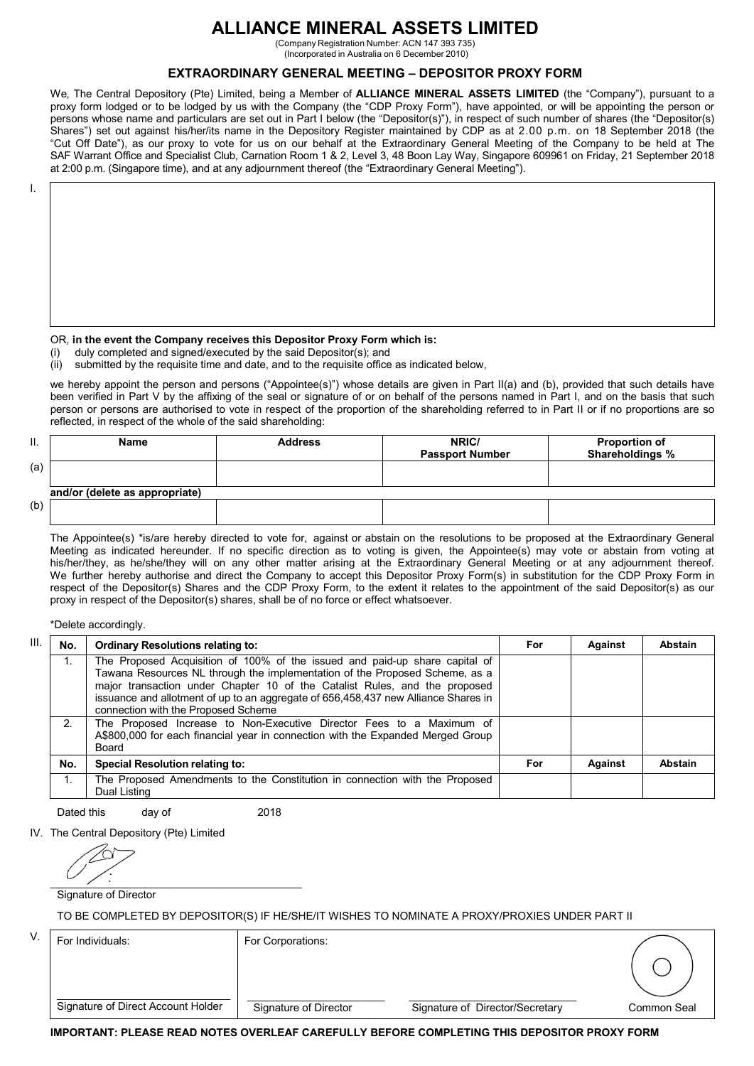# **ALLIANCE MINERAL ASSETS LIMITED**

(Company Registration Number: ACN 147 393 735) (Incorporated in Australia on 6 December 2010)

## **EXTRAORDINARY GENERAL MEETING – DEPOSITOR PROXY FORM**

 We, The Central Depository (Pte) Limited, being a Member of **ALLIANCE MINERAL ASSETS LIMITED** (the "Company"), pursuant to a proxy form lodged or to be lodged by us with the Company (the "CDP Proxy Form"), have appointed, or will be appointing the person or persons whose name and particulars are set out in Part I below (the "Depositor(s)"), in respect of such number of shares (the "Depositor(s) Shares") set out against his/her/its name in the Depository Register maintained by CDP as at 2.00 p.m. on 18 September 2018 (the "Cut Off Date"), as our proxy to vote for us on our behalf at the Extraordinary General Meeting of the Company to be held at The SAF Warrant Office and Specialist Club, Carnation Room 1 & 2, Level 3, 48 Boon Lay Way, Singapore 609961 on Friday, 21 September 2018 at 2:00 p.m. (Singapore time), and at any adjournment thereof (the "Extraordinary General Meeting").

I.

#### OR, **in the event the Company receives this Depositor Proxy Form which is:**

- (i) duly completed and signed/executed by the said Depositor(s); and
- (ii) submitted by the requisite time and date, and to the requisite office as indicated below,

we hereby appoint the person and persons ("Appointee(s)") whose details are given in Part II(a) and (b), provided that such details have been verified in Part V by the affixing of the seal or signature of or on behalf of the persons named in Part I, and on the basis that such person or persons are authorised to vote in respect of the proportion of the shareholding referred to in Part II or if no proportions are so reflected, in respect of the whole of the said shareholding:

| $\mathbf{II}$ . | <b>Name</b>                    | <b>Address</b> | NRIC/<br><b>Passport Number</b> | <b>Proportion of</b><br>Shareholdings % |
|-----------------|--------------------------------|----------------|---------------------------------|-----------------------------------------|
| (a)             |                                |                |                                 |                                         |
|                 | and/or (delete as appropriate) |                |                                 |                                         |
| (b)             |                                |                |                                 |                                         |

 The Appointee(s) \*is/are hereby directed to vote for, against or abstain on the resolutions to be proposed at the Extraordinary General Meeting as indicated hereunder. If no specific direction as to voting is given, the Appointee(s) may vote or abstain from voting at his/her/they, as he/she/they will on any other matter arising at the Extraordinary General Meeting or at any adjournment thereof. We further hereby authorise and direct the Company to accept this Depositor Proxy Form(s) in substitution for the CDP Proxy Form in respect of the Depositor(s) Shares and the CDP Proxy Form, to the extent it relates to the appointment of the said Depositor(s) as our proxy in respect of the Depositor(s) shares, shall be of no force or effect whatsoever.

\*Delete accordingly.

| III. | No.            | <b>Ordinary Resolutions relating to:</b>                                                                                                                                                                                                                                                                                                                              | For | Against | Abstain |
|------|----------------|-----------------------------------------------------------------------------------------------------------------------------------------------------------------------------------------------------------------------------------------------------------------------------------------------------------------------------------------------------------------------|-----|---------|---------|
|      |                | The Proposed Acquisition of 100% of the issued and paid-up share capital of<br>Tawana Resources NL through the implementation of the Proposed Scheme, as a<br>major transaction under Chapter 10 of the Catalist Rules, and the proposed<br>issuance and allotment of up to an aggregate of 656,458,437 new Alliance Shares in<br>connection with the Proposed Scheme |     |         |         |
|      | 2 <sub>1</sub> | The Proposed Increase to Non-Executive Director Fees to a Maximum of<br>A\$800,000 for each financial year in connection with the Expanded Merged Group<br>Board                                                                                                                                                                                                      |     |         |         |
|      | No.            | <b>Special Resolution relating to:</b>                                                                                                                                                                                                                                                                                                                                | For | Against | Abstain |
|      |                | The Proposed Amendments to the Constitution in connection with the Proposed<br>Dual Listing                                                                                                                                                                                                                                                                           |     |         |         |

Dated this day of 2018

IV. The Central Depository (Pte) Limited

 $\overline{\mathcal{L}}$  ,  $\overline{\mathcal{L}}$  ,  $\overline{\mathcal{L}}$  ,  $\overline{\mathcal{L}}$  ,  $\overline{\mathcal{L}}$  ,  $\overline{\mathcal{L}}$  ,  $\overline{\mathcal{L}}$  ,  $\overline{\mathcal{L}}$  ,  $\overline{\mathcal{L}}$  ,  $\overline{\mathcal{L}}$  ,  $\overline{\mathcal{L}}$  ,  $\overline{\mathcal{L}}$  ,  $\overline{\mathcal{L}}$  ,  $\overline{\mathcal{L}}$  ,  $\overline{\mathcal{L}}$  ,  $\overline{\mathcal{L}}$ 

Signature of Director

TO BE COMPLETED BY DEPOSITOR(S) IF HE/SHE/IT WISHES TO NOMINATE A PROXY/PROXIES UNDER PART II

| V. | For Individuals:                   | For Corporations:     |                                 |             |
|----|------------------------------------|-----------------------|---------------------------------|-------------|
|    |                                    |                       |                                 |             |
|    | Signature of Direct Account Holder | Signature of Director | Signature of Director/Secretary | Common Seal |

**IMPORTANT: PLEASE READ NOTES OVERLEAF CAREFULLY BEFORE COMPLETING THIS DEPOSITOR PROXY FORM**